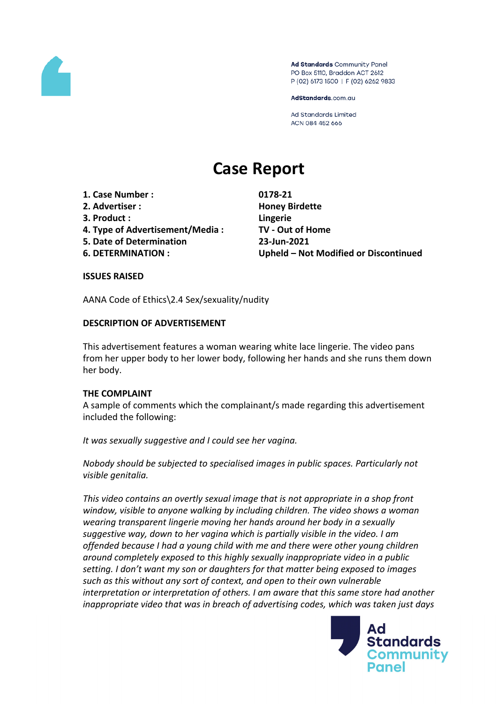

Ad Standards Community Panel PO Box 5110, Braddon ACT 2612 P (02) 6173 1500 | F (02) 6262 9833

AdStandards.com.au

**Ad Standards Limited** ACN 084 452 666

# **Case Report**

- **1. Case Number : 0178-21**
- **2. Advertiser : Honey Birdette**
- **3. Product : Lingerie**
- **4. Type of Advertisement/Media : TV - Out of Home**
- **5. Date of Determination 23-Jun-2021**
- 

**6. DETERMINATION : Upheld – Not Modified or Discontinued**

#### **ISSUES RAISED**

AANA Code of Ethics\2.4 Sex/sexuality/nudity

## **DESCRIPTION OF ADVERTISEMENT**

This advertisement features a woman wearing white lace lingerie. The video pans from her upper body to her lower body, following her hands and she runs them down her body.

#### **THE COMPLAINT**

A sample of comments which the complainant/s made regarding this advertisement included the following:

*It was sexually suggestive and I could see her vagina.*

*Nobody should be subjected to specialised images in public spaces. Particularly not visible genitalia.*

*This video contains an overtly sexual image that is not appropriate in a shop front window, visible to anyone walking by including children. The video shows a woman wearing transparent lingerie moving her hands around her body in a sexually suggestive way, down to her vagina which is partially visible in the video. I am offended because I had a young child with me and there were other young children around completely exposed to this highly sexually inappropriate video in a public setting. I don't want my son or daughters for that matter being exposed to images such as this without any sort of context, and open to their own vulnerable interpretation or interpretation of others. I am aware that this same store had another inappropriate video that was in breach of advertising codes, which was taken just days*

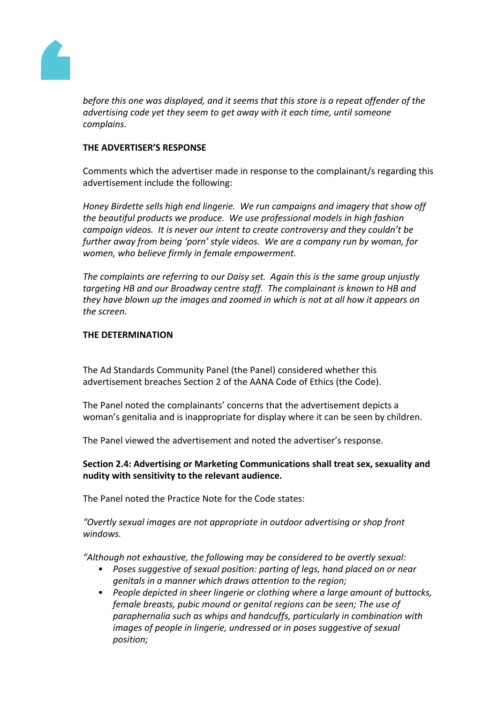

*before this one was displayed, and it seems that this store is a repeat offender of the advertising code yet they seem to get away with it each time, until someone complains.*

### **THE ADVERTISER'S RESPONSE**

Comments which the advertiser made in response to the complainant/s regarding this advertisement include the following:

*Honey Birdette sells high end lingerie. We run campaigns and imagery that show off the beautiful products we produce. We use professional models in high fashion campaign videos. It is never our intent to create controversy and they couldn't be further away from being 'porn' style videos. We are a company run by woman, for women, who believe firmly in female empowerment.*

*The complaints are referring to our Daisy set. Again this is the same group unjustly targeting HB and our Broadway centre staff. The complainant is known to HB and they have blown up the images and zoomed in which is not at all how it appears on the screen.*

## **THE DETERMINATION**

The Ad Standards Community Panel (the Panel) considered whether this advertisement breaches Section 2 of the AANA Code of Ethics (the Code).

The Panel noted the complainants' concerns that the advertisement depicts a woman's genitalia and is inappropriate for display where it can be seen by children.

The Panel viewed the advertisement and noted the advertiser's response.

**Section 2.4: Advertising or Marketing Communications shall treat sex, sexuality and nudity with sensitivity to the relevant audience.**

The Panel noted the Practice Note for the Code states:

*"Overtly sexual images are not appropriate in outdoor advertising or shop front windows.*

*"Although not exhaustive, the following may be considered to be overtly sexual:*

- *• Poses suggestive of sexual position: parting of legs, hand placed on or near genitals in a manner which draws attention to the region;*
- *• People depicted in sheer lingerie or clothing where a large amount of buttocks, female breasts, pubic mound or genital regions can be seen; The use of paraphernalia such as whips and handcuffs, particularly in combination with images of people in lingerie, undressed or in poses suggestive of sexual position;*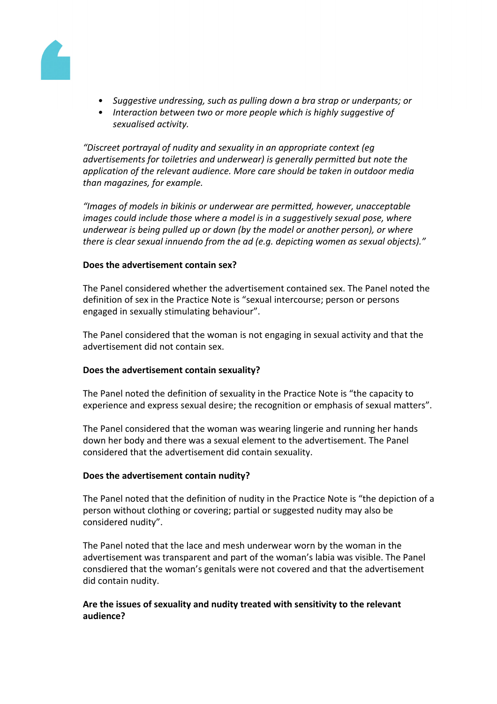

- *• Suggestive undressing, such as pulling down a bra strap or underpants; or*
- *• Interaction between two or more people which is highly suggestive of sexualised activity.*

*"Discreet portrayal of nudity and sexuality in an appropriate context (eg advertisements for toiletries and underwear) is generally permitted but note the application of the relevant audience. More care should be taken in outdoor media than magazines, for example.*

*"Images of models in bikinis or underwear are permitted, however, unacceptable images could include those where a model is in a suggestively sexual pose, where underwear is being pulled up or down (by the model or another person), or where there is clear sexual innuendo from the ad (e.g. depicting women as sexual objects)."*

#### **Does the advertisement contain sex?**

The Panel considered whether the advertisement contained sex. The Panel noted the definition of sex in the Practice Note is "sexual intercourse; person or persons engaged in sexually stimulating behaviour".

The Panel considered that the woman is not engaging in sexual activity and that the advertisement did not contain sex.

#### **Does the advertisement contain sexuality?**

The Panel noted the definition of sexuality in the Practice Note is "the capacity to experience and express sexual desire; the recognition or emphasis of sexual matters".

The Panel considered that the woman was wearing lingerie and running her hands down her body and there was a sexual element to the advertisement. The Panel considered that the advertisement did contain sexuality.

#### **Does the advertisement contain nudity?**

The Panel noted that the definition of nudity in the Practice Note is "the depiction of a person without clothing or covering; partial or suggested nudity may also be considered nudity".

The Panel noted that the lace and mesh underwear worn by the woman in the advertisement was transparent and part of the woman's labia was visible. The Panel consdiered that the woman's genitals were not covered and that the advertisement did contain nudity.

## **Are the issues of sexuality and nudity treated with sensitivity to the relevant audience?**